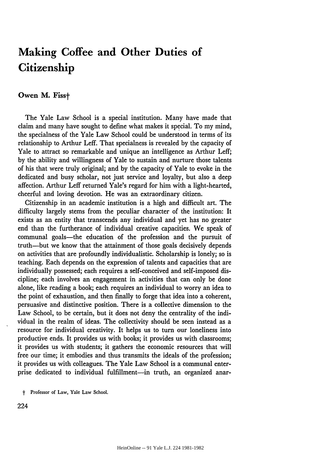# **Making Coffee and Other Duties of Citizenship**

# Owen M. Fisst

The Yale Law School is a special institution. Many have made that claim and many have sought to define what makes it special. To my mind, the specialness of the Yale Law School could be understood in terms of its relationship to Arthur Leff. That specialness is revealed by the capacity of Yale to attract so remarkable and unique an intelligence as Arthur Leff; by the ability and willingness of Yale to sustain and nurture those talents of his that were truly original; and by the capacity of Yale to evoke in the dedicated and busy scholar, not just service and loyalty, but also a deep affection. Arthur Leff returned Yale's regard for him with a light-hearted, cheerful and loving devotion. He was an extraordinary citizen.

Citizenship in an academic institution is a high and difficult art. The difficulty largely stems from the peculiar character of the institution: It exists as an entity that transcends any individual and yet has no greater end than the furtherance of individual creative capacities. We speak of communal goals-the education of the profession and the pursuit of truth-but we know that the attainment of those goals decisively depends on activities that are profoundly individualistic. Scholarship is lonely; so is teaching. Each depends on the expression of talents and capacities that are individually possessed; each requires a self-conceived and self-imposed discipline; each involves an engagement in activities that can only be done alone, like reading a book; each requires an individual to worry an idea to the point of exhaustion, and then finally to forge that idea into a coherent, persuasive and distinctive position. There is a collective dimension to the Law School, to be certain, but it does not deny the centrality of the individual in the realm of ideas. The collectivity should be seen instead as a resource for individual creativity. It helps us to turn our loneliness into productive ends. It provides us with books; it provides us with classrooms; it provides us with students; it gathers the economic resources that will free our time; it embodies and thus transmits the ideals of the profession; it provides us with colleagues. The Yale Law School is a communal enterprise dedicated to individual fulfillment-in truth, an organized anar-

t Professor of Law, Yale Law School.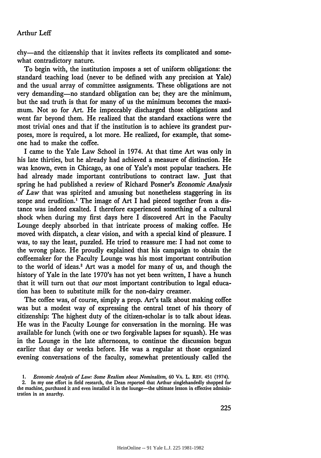#### Arthur Leff

chy-and the citizenship that it invites reflects its complicated and somewhat contradictory nature.

To begin with, the institution imposes a set of uniform obligations: the standard teaching load (never to be defined with any precision at Yale) and the usual array of committee assignments. These obligations are not very demanding-no standard obligation can be; they are the minimum, but the sad truth is that for many of us the minimum becomes the maximum. Not so for Art. He impeccably discharged those obligations and went far beyond them. He realized that the standard exactions were the most trivial ones and that if the institution is to achieve its grandest purposes, more is required, a lot more. He realized, for example, that someone had to make the coffee.

I came to the Yale Law School in 1974. At that time Art was only in his late thirties, but he already had achieved a measure of distinction. He was known, even in Chicago, as one of Yale's most popular teachers. He had already made important contributions to contract law. Just that spring he had published a review of Richard Posner's *Economic Analysis of Law* that was spirited and amusing but nonetheless staggering in its scope and erudition.' The image of Art I had pieced together from a distance was indeed exalted. I therefore experienced something of a cultural shock when during my first days here I discovered Art in the Faculty Lounge deeply absorbed in that intricate process of making coffee. He moved with dispatch, a clear vision, and with a special kind of pleasure. I was, to say the least, puzzled. He tried to reassure me: I had not come to the wrong place. He proudly explained that his campaign to obtain the coffeemaker for the Faculty Lounge was his most important contribution to the world of ideas.2 Art was a model for many of us, and though the history of Yale in the late 1970's has not yet been written, I have a hunch that it will turn out that *our* most important contribution to legal education has been to substitute milk for the non-dairy creamer.

The coffee was, of course, simply a prop. Art's talk about making coffee was but a modest way of expressing the central tenet of his theory of citizenship: The highest duty of the citizen-scholar is to talk about ideas. He was in the Faculty Lounge for conversation in the morning. He was available for lunch (with one or two forgivable lapses for squash). He was in the Lounge in the late afternoons, to continue the discussion begun earlier that day or weeks before. He was a regular at those organized evening conversations of the faculty, somewhat pretentiously called the

*<sup>1.</sup> Economic Analysis of Law: Some Realism about Nominalism,* **60** VA. L. REV. 451 (1974).

<sup>2.</sup> In my one effort in field research, the Dean reported that Arthur singlehandedly shopped for the machine, purchased it and even installed it in the lounge-the ultimate lesson in effective administration in an anarchy.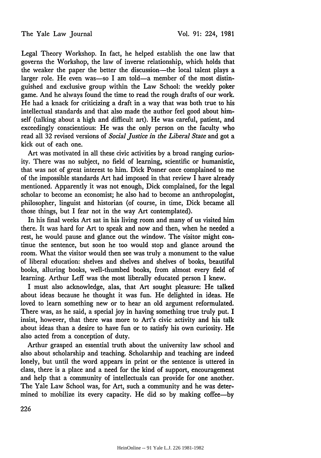Legal Theory Workshop. In fact, he helped establish the one law that governs the Workshop, the law of inverse relationship, which holds that the weaker the paper the better the discussion—the local talent plays a larger role. He even was-so I am told-a member of the most distinguished and exclusive group within the Law School: the weekly poker game. And he always found the time to read the rough drafts of our work. He had a knack for criticizing a draft in a way that was both true to his intellectual standards and that also made the author feel good about himself (talking about a high and difficult art). He was careful, patient, and exceedingly conscientious: He was the only person on the faculty who read all 32 revised versions of *Social Justice in the Liberal State* and got a kick out of each one.

Art was motivated in all these civic activities by a broad ranging curiosity. There was no subject, no field of learning, scientific or humanistic, that was not of great interest to him. Dick Posner once complained to me of the impossible standards Art had imposed in that review I have already mentioned. Apparently it was not enough, Dick complained, for the legal scholar to become an economist; he also had to become an anthropologist, philosopher, linguist and historian (of course, in time, Dick became all those things, but I fear not in the way Art contemplated).

In his final weeks Art sat in his living room and many of us visited him there. It was hard for Art to speak and now and then, when he needed a rest, he would pause and glance out the window. The visitor might continue the sentence, but soon he too would stop and glance around the room. What the visitor would then see was truly a monument to the value of liberal education: shelves and shelves and shelves of books, beautiful books, alluring books, well-thumbed books, from almost every field of learning. Arthur Leff was the most liberally educated person I knew.

I must also acknowledge, alas, that Art sought pleasure: He talked about ideas because he thought it was fun. He delighted in ideas. He loved to learn something new or to hear an old argument reformulated. There was, as he said, a special joy in having something true truly put. I insist, however, that there was more to Art's civic activity and his talk about ideas than a desire to have fun or to satisfy his own curiosity. He also acted from a conception of duty.

Arthur grasped an essential truth about the university law school and also about scholarship and teaching. Scholarship and teaching are indeed lonely, but until the word appears in print or the sentence is uttered in class, there is a place and a need for the kind of support, encouragement and help that a community of intellectuals can provide for one another. The Yale Law School was, for Art, such a community and he was determined to mobilize its every capacity. He did so by making coffee-by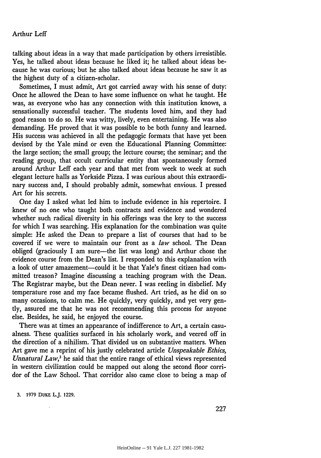### Arthur Leff

talking about ideas in a way that made participation by others irresistible. Yes, he talked about ideas because he liked it; he talked about ideas because he was curious; but he also talked about ideas because he saw it as the highest duty of a citizen-scholar.

Sometimes, I must admit, Art got carried away with his sense of duty: Once he allowed the Dean to have some influence on what he taught. He was, as everyone who has any connection with this institution knows, a sensationally successful teacher. The students loved him, and they had good reason to do so. He was witty, lively, even entertaining. He was also demanding. He proved that it was possible to be both funny and learned. His success was achieved in all the pedagogic formats that have yet been devised by the Yale mind or even the Educational Planning Committee: the large section; the small group; the lecture course; the seminar; and the reading group, that occult curricular entity that spontaneously formed around Arthur Leff each year and that met from week to week at such elegant lecture halls as Yorkside Pizza. I was curious about this extraordinary success and, I should probably admit, somewhat envious. I pressed Art for his secrets.

One day I asked what led him to include evidence in his repertoire. I knew of no one who taught both contracts and evidence and wondered whether such radical diversity in his offerings was the key to the success for which I was searching. His explanation for the combination was quite simple: He asked the Dean to prepare a list of courses that had to be covered if we were to maintain our front as a *law* school. The Dean obliged (graciously I am sure-the list was long) and Arthur chose the evidence course from the Dean's list. I responded to this explanation with a look of utter amazement-could it be that Yale's finest citizen had committed treason? Imagine discussing a teaching program with the Dean. The Registrar maybe, but the Dean never. I was reeling in disbelief. **My** temperature rose and my face became flushed. Art tried, as he did on so many occasions, to calm me. He quickly, very quickly, and yet very gently, assured me that he was not recommending this process for anyone else. Besides, he said, he enjoyed the course.

There was at times an appearance of indifference to Art, a certain casualness. These qualities surfaced in his scholarly work, and veered off in the direction of a nihilism. That divided us on substantive matters. When Art gave me a reprint of his justly celebrated article *Unspeakable Ethics, Unnatural Law,3* he said that the entire range of ethical views represented in western civilization could be mapped out along the second floor corridor of the Law School. That corridor also came close to being a map of

**3. 1979 DUKE L.J. 1229.**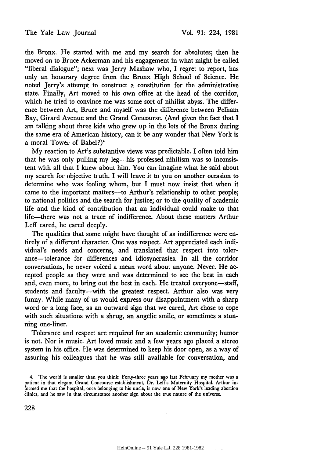the Bronx. He started with me and my search for absolutes; then he moved on to Bruce Ackerman and his engagement in what might be called "liberal dialogue"; next was Jerry Mashaw who, I regret to report, has only an honorary degree from the Bronx High School of Science. He noted Jerry's attempt to construct a constitution for the administrative state. Finally, Art moved to his own office at the head of the corridor, which he tried to convince me was some sort of nihilist abyss. The difference between Art, Bruce and myself was the difference between Pelham Bay, Girard Avenue and the Grand Concourse. (And given the fact that I am talking about three kids who grew up in the lots of the Bronx during the same era of American history, can it be any wonder that New York is a moral Tower of Babel?)<sup>4</sup>

**My** reaction to Art's substantive views was predictable. I often told him that he was only pulling my leg-his professed nihilism was so inconsistent with all that I knew about him. You can imagine what he said about my search for objective truth. I will leave it to you on another occasion to determine who was fooling whom, but I must now insist that when it came to the important matters--to Arthur's relationship to other people; to national politics and the search for justice; or to the quality of academic life and the kind of contribution that an individual could make to that life-there was not a trace of indifference. About these matters Arthur Leff cared, he cared deeply.

The qualities that some might have thought of as indifference were entirely of a different character. One was respect. Art appreciated each individual's needs and concerns, and translated that respect into tolerance-tolerance for differences and idiosyncrasies. In all the corridor conversations, he never voiced a mean word about anyone. Never. He accepted people as they were and was determined to see the best in each and, even more, to bring out the best in each. He treated everyone—staff, students and faculty-with the greatest respect. Arthur also was very funny. While many of us would express our disappointment with a sharp word or a long face, as an outward sign that we cared, Art chose to cope with such situations with a shrug, an angelic smile, or sometimes a stunning one-liner.

Tolerance and respect are required for an academic community; humor is not. Nor is music. Art loved music and a few years ago placed a stereo system in his office. He was determined to keep his door open, as a way of assuring his colleagues that he was still available for conversation, and

<sup>4.</sup> The world is smaller than you think: Forty-three years ago last February my mother was a patient in that elegant Grand Concourse establishment, Dr. Leff's Maternity Hospital. Arthur informed me that the hospital, once belonging to his uncle, is now one of New York's leading abortion clinics, and he saw in that circumstance another sign about the true nature of the universe.